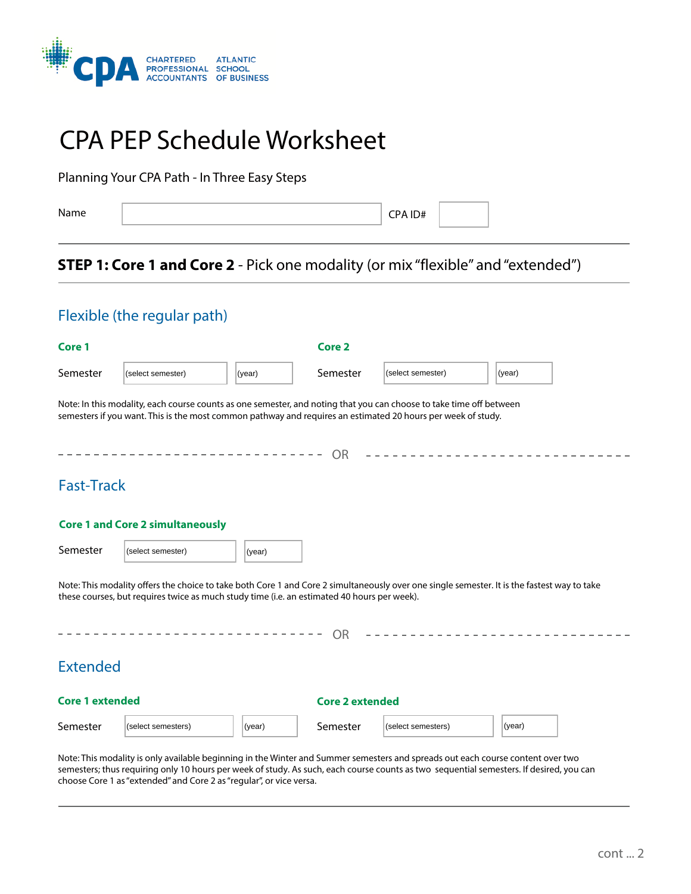

# CPA PEP Schedule Worksheet

Planning Your CPA Path - In Three Easy Steps

Name

CPA ID#

# **STEP 1: Core 1 and Core 2** - Pick one modality (or mix "flexible" and "extended")

# Flexible (the regular path)

| Core 1                 |                                                                                                                                                                                                                                     |        | <b>Core 2</b>          |                   |                                                                                                                                             |
|------------------------|-------------------------------------------------------------------------------------------------------------------------------------------------------------------------------------------------------------------------------------|--------|------------------------|-------------------|---------------------------------------------------------------------------------------------------------------------------------------------|
| Semester               | (select semester)                                                                                                                                                                                                                   | (year) | Semester               | (select semester) | (year)                                                                                                                                      |
|                        | Note: In this modality, each course counts as one semester, and noting that you can choose to take time off between<br>semesters if you want. This is the most common pathway and requires an estimated 20 hours per week of study. |        |                        |                   |                                                                                                                                             |
|                        |                                                                                                                                                                                                                                     |        | <b>OR</b>              |                   |                                                                                                                                             |
| <b>Fast-Track</b>      |                                                                                                                                                                                                                                     |        |                        |                   |                                                                                                                                             |
|                        | <b>Core 1 and Core 2 simultaneously</b>                                                                                                                                                                                             |        |                        |                   |                                                                                                                                             |
| Semester               | (select semester)                                                                                                                                                                                                                   | (year) |                        |                   |                                                                                                                                             |
|                        | these courses, but requires twice as much study time (i.e. an estimated 40 hours per week).                                                                                                                                         |        |                        |                   | Note: This modality offers the choice to take both Core 1 and Core 2 simultaneously over one single semester. It is the fastest way to take |
|                        |                                                                                                                                                                                                                                     |        | <b>OR</b>              |                   |                                                                                                                                             |
| <b>Extended</b>        |                                                                                                                                                                                                                                     |        |                        |                   |                                                                                                                                             |
| <b>Core 1 extended</b> |                                                                                                                                                                                                                                     |        | <b>Core 2 extended</b> |                   |                                                                                                                                             |
|                        |                                                                                                                                                                                                                                     |        |                        |                   |                                                                                                                                             |

Note: This modality is only available beginning in the Winter and Summer semesters and spreads out each course content over two semesters; thus requiring only 10 hours per week of study. As such, each course counts as two sequential semesters. If desired, you can choose Core 1 as "extended" and Core 2 as "regular", or vice versa.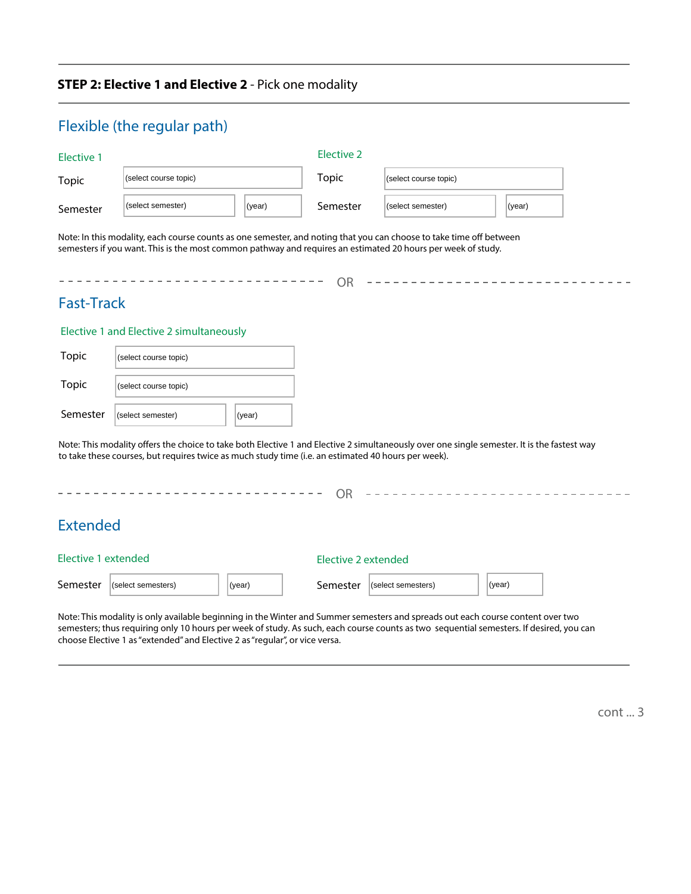## **STEP 2: Elective 1 and Elective 2** - Pick one modality

|                     | Flexible (the regular path)                                                                                                                                                                                                                        |        |              |                             |        |  |  |  |
|---------------------|----------------------------------------------------------------------------------------------------------------------------------------------------------------------------------------------------------------------------------------------------|--------|--------------|-----------------------------|--------|--|--|--|
| <b>Elective 1</b>   |                                                                                                                                                                                                                                                    |        | Elective 2   |                             |        |  |  |  |
| <b>Topic</b>        | (select course topic)                                                                                                                                                                                                                              |        | <b>Topic</b> | (select course topic)       |        |  |  |  |
| Semester            | (select semester)                                                                                                                                                                                                                                  | (year) |              | (select semester)<br>(year) |        |  |  |  |
|                     | Note: In this modality, each course counts as one semester, and noting that you can choose to take time off between<br>semesters if you want. This is the most common pathway and requires an estimated 20 hours per week of study.                |        | <b>OR</b>    |                             |        |  |  |  |
| <b>Fast-Track</b>   |                                                                                                                                                                                                                                                    |        |              |                             |        |  |  |  |
|                     | Elective 1 and Elective 2 simultaneously                                                                                                                                                                                                           |        |              |                             |        |  |  |  |
| <b>Topic</b>        | (select course topic)                                                                                                                                                                                                                              |        |              |                             |        |  |  |  |
| <b>Topic</b>        | (select course topic)                                                                                                                                                                                                                              |        |              |                             |        |  |  |  |
| Semester            | (select semester)                                                                                                                                                                                                                                  | (year) |              |                             |        |  |  |  |
|                     | Note: This modality offers the choice to take both Elective 1 and Elective 2 simultaneously over one single semester. It is the fastest way<br>to take these courses, but requires twice as much study time (i.e. an estimated 40 hours per week). |        |              |                             |        |  |  |  |
|                     |                                                                                                                                                                                                                                                    |        | <b>OR</b>    |                             |        |  |  |  |
| <b>Extended</b>     |                                                                                                                                                                                                                                                    |        |              |                             |        |  |  |  |
| Elective 1 extended |                                                                                                                                                                                                                                                    |        |              | <b>Elective 2 extended</b>  |        |  |  |  |
| Semester            | (select semesters)                                                                                                                                                                                                                                 | (year) | Semester     | (select semesters)          | (year) |  |  |  |

Note: This modality is only available beginning in the Winter and Summer semesters and spreads out each course content over two semesters; thus requiring only 10 hours per week of study. As such, each course counts as two sequential semesters. If desired, you can choose Elective 1 as "extended" and Elective 2 as "regular", or vice versa.